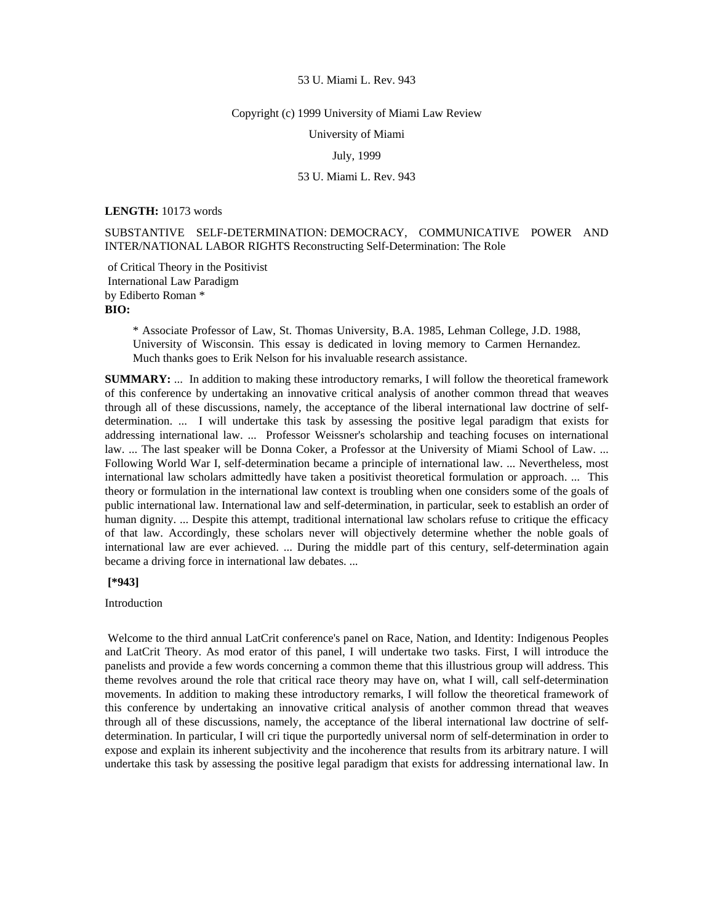#### Copyright (c) 1999 University of Miami Law Review

University of Miami

## July, 1999

# 53 U. Miami L. Rev. 943

## **LENGTH:** 10173 words

SUBSTANTIVE SELF-DETERMINATION: DEMOCRACY, COMMUNICATIVE POWER AND INTER/NATIONAL LABOR RIGHTS Reconstructing Self-Determination: The Role

 of Critical Theory in the Positivist International Law Paradigm by Ediberto Roman \* **BIO:** 

> \* Associate Professor of Law, St. Thomas University, B.A. 1985, Lehman College, J.D. 1988, University of Wisconsin. This essay is dedicated in loving memory to Carmen Hernandez. Much thanks goes to Erik Nelson for his invaluable research assistance.

**SUMMARY:** ... In addition to making these introductory remarks, I will follow the theoretical framework of this conference by undertaking an innovative critical analysis of another common thread that weaves through all of these discussions, namely, the acceptance of the liberal international law doctrine of selfdetermination. ... I will undertake this task by assessing the positive legal paradigm that exists for addressing international law. ... Professor Weissner's scholarship and teaching focuses on international law. ... The last speaker will be Donna Coker, a Professor at the University of Miami School of Law. ... Following World War I, self-determination became a principle of international law. ... Nevertheless, most international law scholars admittedly have taken a positivist theoretical formulation or approach. ... This theory or formulation in the international law context is troubling when one considers some of the goals of public international law. International law and self-determination, in particular, seek to establish an order of human dignity. ... Despite this attempt, traditional international law scholars refuse to critique the efficacy of that law. Accordingly, these scholars never will objectively determine whether the noble goals of international law are ever achieved. ... During the middle part of this century, self-determination again became a driving force in international law debates. ...

## **[\*943]**

## Introduction

 Welcome to the third annual LatCrit conference's panel on Race, Nation, and Identity: Indigenous Peoples and LatCrit Theory. As mod erator of this panel, I will undertake two tasks. First, I will introduce the panelists and provide a few words concerning a common theme that this illustrious group will address. This theme revolves around the role that critical race theory may have on, what I will, call self-determination movements. In addition to making these introductory remarks, I will follow the theoretical framework of this conference by undertaking an innovative critical analysis of another common thread that weaves through all of these discussions, namely, the acceptance of the liberal international law doctrine of selfdetermination. In particular, I will cri tique the purportedly universal norm of self-determination in order to expose and explain its inherent subjectivity and the incoherence that results from its arbitrary nature. I will undertake this task by assessing the positive legal paradigm that exists for addressing international law. In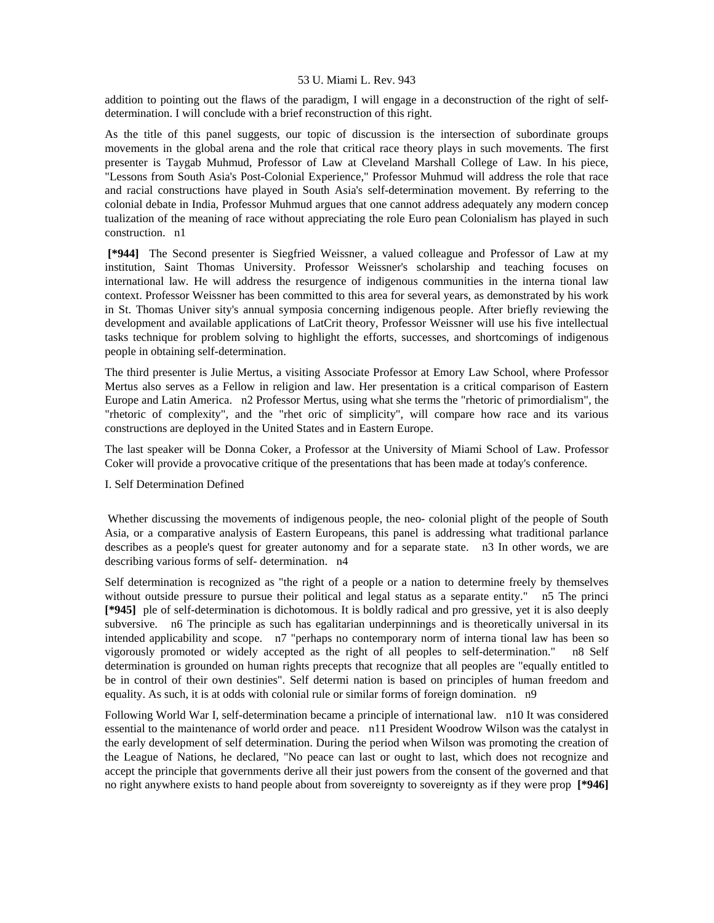addition to pointing out the flaws of the paradigm, I will engage in a deconstruction of the right of selfdetermination. I will conclude with a brief reconstruction of this right.

As the title of this panel suggests, our topic of discussion is the intersection of subordinate groups movements in the global arena and the role that critical race theory plays in such movements. The first presenter is Taygab Muhmud, Professor of Law at Cleveland Marshall College of Law. In his piece, "Lessons from South Asia's Post-Colonial Experience," Professor Muhmud will address the role that race and racial constructions have played in South Asia's self-determination movement. By referring to the colonial debate in India, Professor Muhmud argues that one cannot address adequately any modern concep tualization of the meaning of race without appreciating the role Euro pean Colonialism has played in such construction. n1

 **[\*944]** The Second presenter is Siegfried Weissner, a valued colleague and Professor of Law at my institution, Saint Thomas University. Professor Weissner's scholarship and teaching focuses on international law. He will address the resurgence of indigenous communities in the interna tional law context. Professor Weissner has been committed to this area for several years, as demonstrated by his work in St. Thomas Univer sity's annual symposia concerning indigenous people. After briefly reviewing the development and available applications of LatCrit theory, Professor Weissner will use his five intellectual tasks technique for problem solving to highlight the efforts, successes, and shortcomings of indigenous people in obtaining self-determination.

The third presenter is Julie Mertus, a visiting Associate Professor at Emory Law School, where Professor Mertus also serves as a Fellow in religion and law. Her presentation is a critical comparison of Eastern Europe and Latin America. n2 Professor Mertus, using what she terms the "rhetoric of primordialism", the "rhetoric of complexity", and the "rhet oric of simplicity", will compare how race and its various constructions are deployed in the United States and in Eastern Europe.

The last speaker will be Donna Coker, a Professor at the University of Miami School of Law. Professor Coker will provide a provocative critique of the presentations that has been made at today's conference.

# I. Self Determination Defined

 Whether discussing the movements of indigenous people, the neo- colonial plight of the people of South Asia, or a comparative analysis of Eastern Europeans, this panel is addressing what traditional parlance describes as a people's quest for greater autonomy and for a separate state. n3 In other words, we are describing various forms of self- determination. n4

Self determination is recognized as "the right of a people or a nation to determine freely by themselves without outside pressure to pursue their political and legal status as a separate entity." n5 The princi **[\*945]** ple of self-determination is dichotomous. It is boldly radical and pro gressive, yet it is also deeply subversive. n6 The principle as such has egalitarian underpinnings and is theoretically universal in its intended applicability and scope. n7 "perhaps no contemporary norm of interna tional law has been so vigorously promoted or widely accepted as the right of all peoples to self-determination." n8 Self determination is grounded on human rights precepts that recognize that all peoples are "equally entitled to be in control of their own destinies". Self determi nation is based on principles of human freedom and equality. As such, it is at odds with colonial rule or similar forms of foreign domination. n9

Following World War I, self-determination became a principle of international law. n10 It was considered essential to the maintenance of world order and peace. n11 President Woodrow Wilson was the catalyst in the early development of self determination. During the period when Wilson was promoting the creation of the League of Nations, he declared, "No peace can last or ought to last, which does not recognize and accept the principle that governments derive all their just powers from the consent of the governed and that no right anywhere exists to hand people about from sovereignty to sovereignty as if they were prop **[\*946]**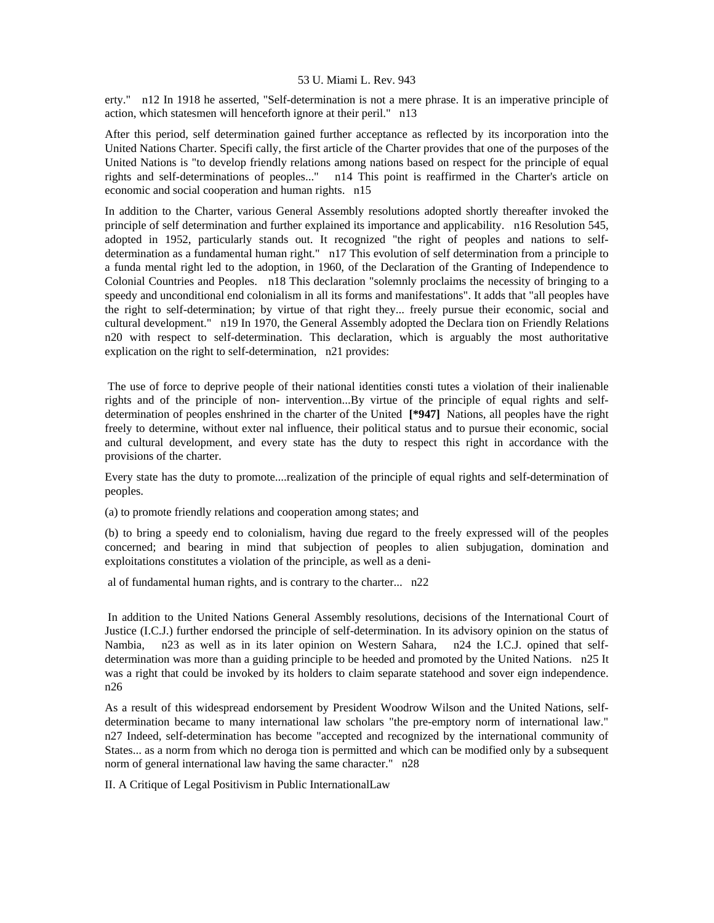erty." n12 In 1918 he asserted, "Self-determination is not a mere phrase. It is an imperative principle of action, which statesmen will henceforth ignore at their peril." n13

After this period, self determination gained further acceptance as reflected by its incorporation into the United Nations Charter. Specifi cally, the first article of the Charter provides that one of the purposes of the United Nations is "to develop friendly relations among nations based on respect for the principle of equal rights and self-determinations of peoples..." n14 This point is reaffirmed in the Charter's article on economic and social cooperation and human rights. n15

In addition to the Charter, various General Assembly resolutions adopted shortly thereafter invoked the principle of self determination and further explained its importance and applicability. n16 Resolution 545, adopted in 1952, particularly stands out. It recognized "the right of peoples and nations to selfdetermination as a fundamental human right." n17 This evolution of self determination from a principle to a funda mental right led to the adoption, in 1960, of the Declaration of the Granting of Independence to Colonial Countries and Peoples. n18 This declaration "solemnly proclaims the necessity of bringing to a speedy and unconditional end colonialism in all its forms and manifestations". It adds that "all peoples have the right to self-determination; by virtue of that right they... freely pursue their economic, social and cultural development." n19 In 1970, the General Assembly adopted the Declara tion on Friendly Relations n20 with respect to self-determination. This declaration, which is arguably the most authoritative explication on the right to self-determination, n21 provides:

 The use of force to deprive people of their national identities consti tutes a violation of their inalienable rights and of the principle of non- intervention...By virtue of the principle of equal rights and selfdetermination of peoples enshrined in the charter of the United **[\*947]** Nations, all peoples have the right freely to determine, without exter nal influence, their political status and to pursue their economic, social and cultural development, and every state has the duty to respect this right in accordance with the provisions of the charter.

Every state has the duty to promote....realization of the principle of equal rights and self-determination of peoples.

(a) to promote friendly relations and cooperation among states; and

(b) to bring a speedy end to colonialism, having due regard to the freely expressed will of the peoples concerned; and bearing in mind that subjection of peoples to alien subjugation, domination and exploitations constitutes a violation of the principle, as well as a deni-

al of fundamental human rights, and is contrary to the charter... n22

 In addition to the United Nations General Assembly resolutions, decisions of the International Court of Justice (I.C.J.) further endorsed the principle of self-determination. In its advisory opinion on the status of Nambia, n23 as well as in its later opinion on Western Sahara, n24 the I.C.J. opined that selfdetermination was more than a guiding principle to be heeded and promoted by the United Nations. n25 It was a right that could be invoked by its holders to claim separate statehood and sover eign independence. n26

As a result of this widespread endorsement by President Woodrow Wilson and the United Nations, selfdetermination became to many international law scholars "the pre-emptory norm of international law." n27 Indeed, self-determination has become "accepted and recognized by the international community of States... as a norm from which no deroga tion is permitted and which can be modified only by a subsequent norm of general international law having the same character." n28

II. A Critique of Legal Positivism in Public InternationalLaw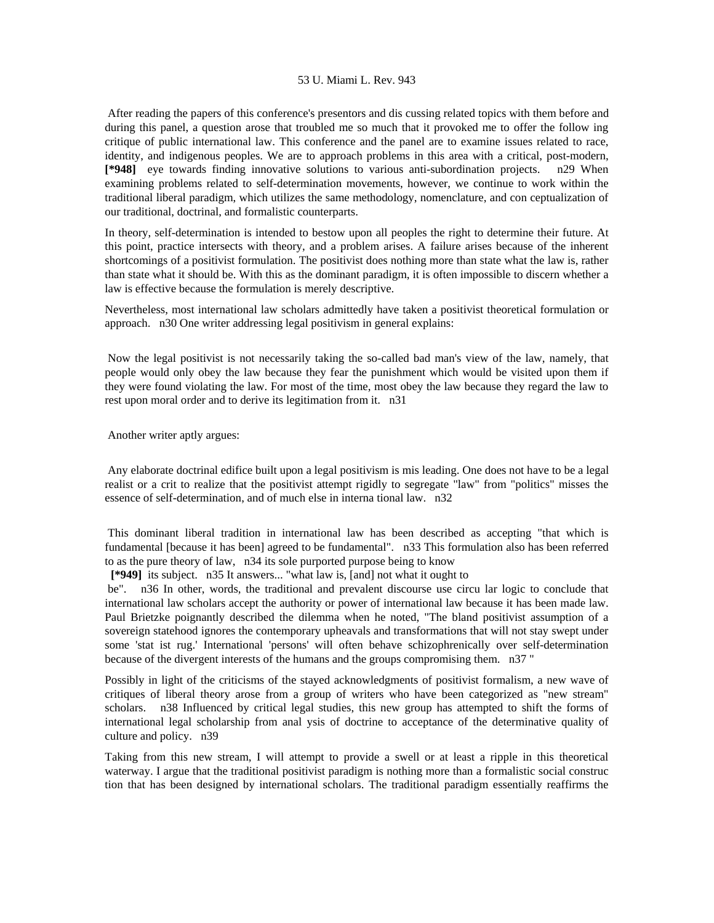After reading the papers of this conference's presentors and dis cussing related topics with them before and during this panel, a question arose that troubled me so much that it provoked me to offer the follow ing critique of public international law. This conference and the panel are to examine issues related to race, identity, and indigenous peoples. We are to approach problems in this area with a critical, post-modern, **[\*948]** eye towards finding innovative solutions to various anti-subordination projects. n29 When examining problems related to self-determination movements, however, we continue to work within the traditional liberal paradigm, which utilizes the same methodology, nomenclature, and con ceptualization of our traditional, doctrinal, and formalistic counterparts.

In theory, self-determination is intended to bestow upon all peoples the right to determine their future. At this point, practice intersects with theory, and a problem arises. A failure arises because of the inherent shortcomings of a positivist formulation. The positivist does nothing more than state what the law is, rather than state what it should be. With this as the dominant paradigm, it is often impossible to discern whether a law is effective because the formulation is merely descriptive.

Nevertheless, most international law scholars admittedly have taken a positivist theoretical formulation or approach. n30 One writer addressing legal positivism in general explains:

 Now the legal positivist is not necessarily taking the so-called bad man's view of the law, namely, that people would only obey the law because they fear the punishment which would be visited upon them if they were found violating the law. For most of the time, most obey the law because they regard the law to rest upon moral order and to derive its legitimation from it. n31

Another writer aptly argues:

 Any elaborate doctrinal edifice built upon a legal positivism is mis leading. One does not have to be a legal realist or a crit to realize that the positivist attempt rigidly to segregate "law" from "politics" misses the essence of self-determination, and of much else in interna tional law. n32

 This dominant liberal tradition in international law has been described as accepting "that which is fundamental [because it has been] agreed to be fundamental". n33 This formulation also has been referred to as the pure theory of law, n34 its sole purported purpose being to know

 **[\*949]** its subject. n35 It answers... "what law is, [and] not what it ought to

 be". n36 In other, words, the traditional and prevalent discourse use circu lar logic to conclude that international law scholars accept the authority or power of international law because it has been made law. Paul Brietzke poignantly described the dilemma when he noted, "The bland positivist assumption of a sovereign statehood ignores the contemporary upheavals and transformations that will not stay swept under some 'stat ist rug.' International 'persons' will often behave schizophrenically over self-determination because of the divergent interests of the humans and the groups compromising them. n37 "

Possibly in light of the criticisms of the stayed acknowledgments of positivist formalism, a new wave of critiques of liberal theory arose from a group of writers who have been categorized as "new stream" scholars. n38 Influenced by critical legal studies, this new group has attempted to shift the forms of international legal scholarship from anal ysis of doctrine to acceptance of the determinative quality of culture and policy. n39

Taking from this new stream, I will attempt to provide a swell or at least a ripple in this theoretical waterway. I argue that the traditional positivist paradigm is nothing more than a formalistic social construc tion that has been designed by international scholars. The traditional paradigm essentially reaffirms the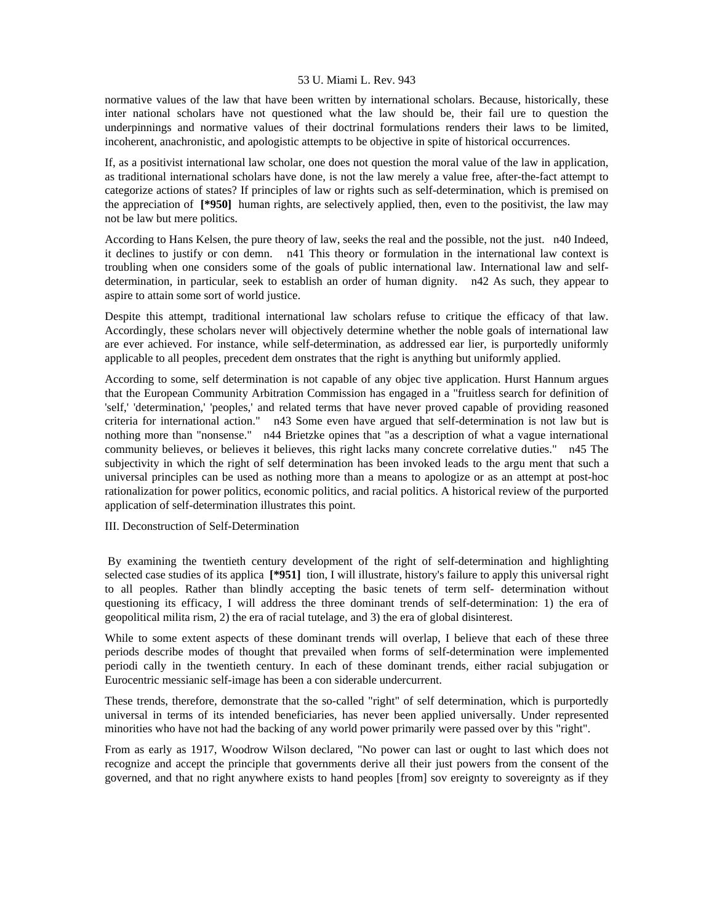normative values of the law that have been written by international scholars. Because, historically, these inter national scholars have not questioned what the law should be, their fail ure to question the underpinnings and normative values of their doctrinal formulations renders their laws to be limited, incoherent, anachronistic, and apologistic attempts to be objective in spite of historical occurrences.

If, as a positivist international law scholar, one does not question the moral value of the law in application, as traditional international scholars have done, is not the law merely a value free, after-the-fact attempt to categorize actions of states? If principles of law or rights such as self-determination, which is premised on the appreciation of **[\*950]** human rights, are selectively applied, then, even to the positivist, the law may not be law but mere politics.

According to Hans Kelsen, the pure theory of law, seeks the real and the possible, not the just. n40 Indeed, it declines to justify or con demn. n41 This theory or formulation in the international law context is troubling when one considers some of the goals of public international law. International law and selfdetermination, in particular, seek to establish an order of human dignity. n42 As such, they appear to aspire to attain some sort of world justice.

Despite this attempt, traditional international law scholars refuse to critique the efficacy of that law. Accordingly, these scholars never will objectively determine whether the noble goals of international law are ever achieved. For instance, while self-determination, as addressed ear lier, is purportedly uniformly applicable to all peoples, precedent dem onstrates that the right is anything but uniformly applied.

According to some, self determination is not capable of any objec tive application. Hurst Hannum argues that the European Community Arbitration Commission has engaged in a "fruitless search for definition of 'self,' 'determination,' 'peoples,' and related terms that have never proved capable of providing reasoned criteria for international action." n43 Some even have argued that self-determination is not law but is nothing more than "nonsense." n44 Brietzke opines that "as a description of what a vague international community believes, or believes it believes, this right lacks many concrete correlative duties." n45 The subjectivity in which the right of self determination has been invoked leads to the argu ment that such a universal principles can be used as nothing more than a means to apologize or as an attempt at post-hoc rationalization for power politics, economic politics, and racial politics. A historical review of the purported application of self-determination illustrates this point.

# III. Deconstruction of Self-Determination

 By examining the twentieth century development of the right of self-determination and highlighting selected case studies of its applica **[\*951]** tion, I will illustrate, history's failure to apply this universal right to all peoples. Rather than blindly accepting the basic tenets of term self- determination without questioning its efficacy, I will address the three dominant trends of self-determination: 1) the era of geopolitical milita rism, 2) the era of racial tutelage, and 3) the era of global disinterest.

While to some extent aspects of these dominant trends will overlap. I believe that each of these three periods describe modes of thought that prevailed when forms of self-determination were implemented periodi cally in the twentieth century. In each of these dominant trends, either racial subjugation or Eurocentric messianic self-image has been a con siderable undercurrent.

These trends, therefore, demonstrate that the so-called "right" of self determination, which is purportedly universal in terms of its intended beneficiaries, has never been applied universally. Under represented minorities who have not had the backing of any world power primarily were passed over by this "right".

From as early as 1917, Woodrow Wilson declared, "No power can last or ought to last which does not recognize and accept the principle that governments derive all their just powers from the consent of the governed, and that no right anywhere exists to hand peoples [from] sov ereignty to sovereignty as if they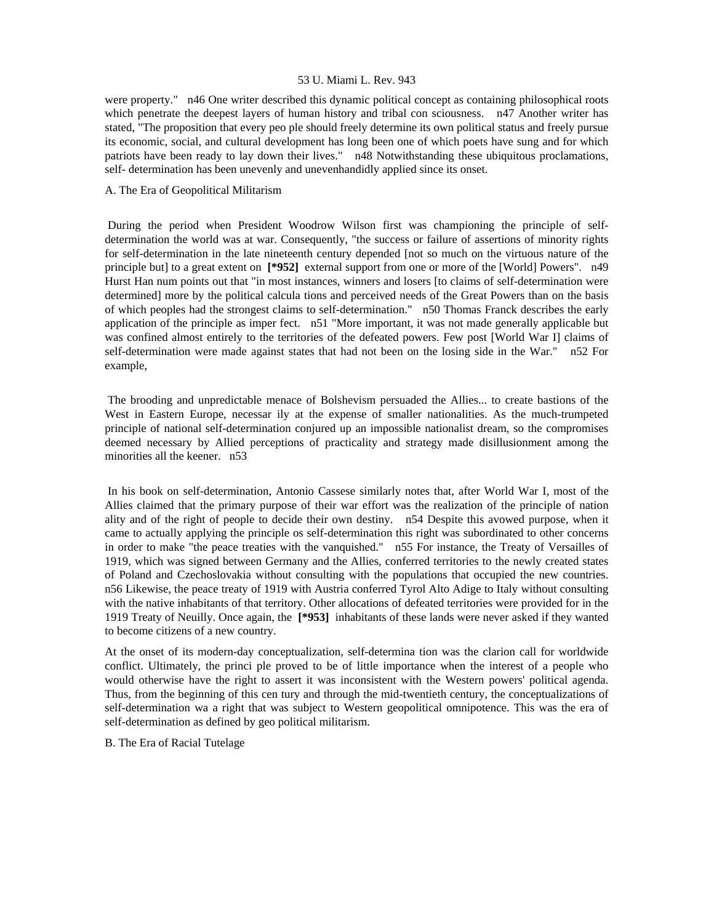were property." n46 One writer described this dynamic political concept as containing philosophical roots which penetrate the deepest layers of human history and tribal con sciousness. n47 Another writer has stated, "The proposition that every peo ple should freely determine its own political status and freely pursue its economic, social, and cultural development has long been one of which poets have sung and for which patriots have been ready to lay down their lives." n48 Notwithstanding these ubiquitous proclamations, self- determination has been unevenly and unevenhandidly applied since its onset.

# A. The Era of Geopolitical Militarism

 During the period when President Woodrow Wilson first was championing the principle of selfdetermination the world was at war. Consequently, "the success or failure of assertions of minority rights for self-determination in the late nineteenth century depended [not so much on the virtuous nature of the principle but] to a great extent on **[\*952]** external support from one or more of the [World] Powers". n49 Hurst Han num points out that "in most instances, winners and losers [to claims of self-determination were determined] more by the political calcula tions and perceived needs of the Great Powers than on the basis of which peoples had the strongest claims to self-determination." n50 Thomas Franck describes the early application of the principle as imper fect. n51 "More important, it was not made generally applicable but was confined almost entirely to the territories of the defeated powers. Few post [World War I] claims of self-determination were made against states that had not been on the losing side in the War." n52 For example,

 The brooding and unpredictable menace of Bolshevism persuaded the Allies... to create bastions of the West in Eastern Europe, necessar ily at the expense of smaller nationalities. As the much-trumpeted principle of national self-determination conjured up an impossible nationalist dream, so the compromises deemed necessary by Allied perceptions of practicality and strategy made disillusionment among the minorities all the keener. n53

 In his book on self-determination, Antonio Cassese similarly notes that, after World War I, most of the Allies claimed that the primary purpose of their war effort was the realization of the principle of nation ality and of the right of people to decide their own destiny. n54 Despite this avowed purpose, when it came to actually applying the principle os self-determination this right was subordinated to other concerns in order to make "the peace treaties with the vanquished." n55 For instance, the Treaty of Versailles of 1919, which was signed between Germany and the Allies, conferred territories to the newly created states of Poland and Czechoslovakia without consulting with the populations that occupied the new countries. n56 Likewise, the peace treaty of 1919 with Austria conferred Tyrol Alto Adige to Italy without consulting with the native inhabitants of that territory. Other allocations of defeated territories were provided for in the 1919 Treaty of Neuilly. Once again, the **[\*953]** inhabitants of these lands were never asked if they wanted to become citizens of a new country.

At the onset of its modern-day conceptualization, self-determina tion was the clarion call for worldwide conflict. Ultimately, the princi ple proved to be of little importance when the interest of a people who would otherwise have the right to assert it was inconsistent with the Western powers' political agenda. Thus, from the beginning of this cen tury and through the mid-twentieth century, the conceptualizations of self-determination wa a right that was subject to Western geopolitical omnipotence. This was the era of self-determination as defined by geo political militarism.

B. The Era of Racial Tutelage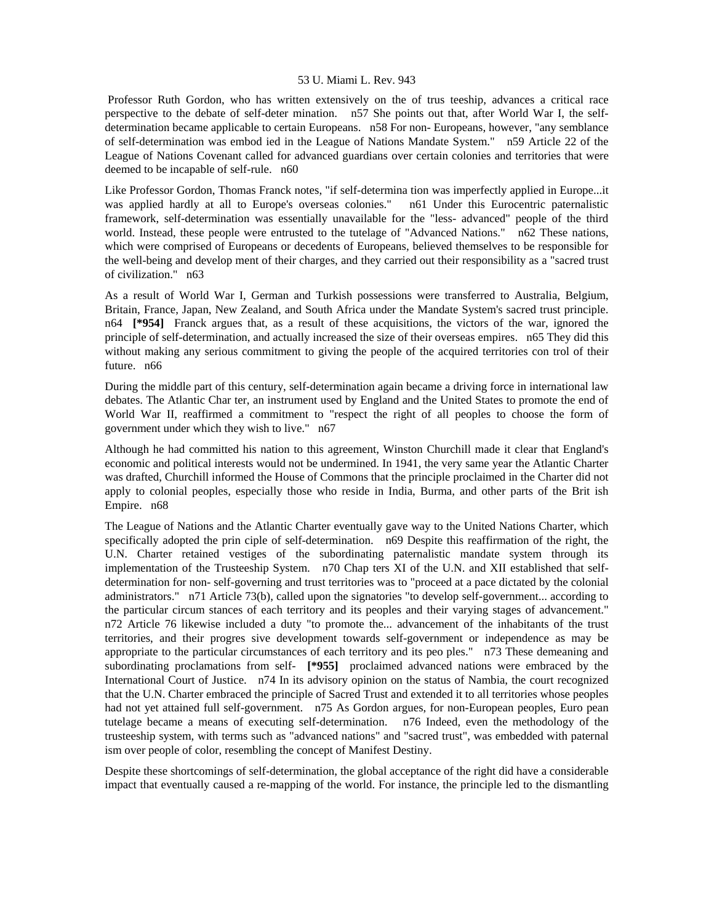Professor Ruth Gordon, who has written extensively on the of trus teeship, advances a critical race perspective to the debate of self-deter mination. n57 She points out that, after World War I, the selfdetermination became applicable to certain Europeans. n58 For non- Europeans, however, "any semblance of self-determination was embod ied in the League of Nations Mandate System." n59 Article 22 of the League of Nations Covenant called for advanced guardians over certain colonies and territories that were deemed to be incapable of self-rule. n60

Like Professor Gordon, Thomas Franck notes, "if self-determina tion was imperfectly applied in Europe...it was applied hardly at all to Europe's overseas colonies." n61 Under this Eurocentric paternalistic framework, self-determination was essentially unavailable for the "less- advanced" people of the third world. Instead, these people were entrusted to the tutelage of "Advanced Nations." n62 These nations, which were comprised of Europeans or decedents of Europeans, believed themselves to be responsible for the well-being and develop ment of their charges, and they carried out their responsibility as a "sacred trust of civilization." n63

As a result of World War I, German and Turkish possessions were transferred to Australia, Belgium, Britain, France, Japan, New Zealand, and South Africa under the Mandate System's sacred trust principle. n64 **[\*954]** Franck argues that, as a result of these acquisitions, the victors of the war, ignored the principle of self-determination, and actually increased the size of their overseas empires. n65 They did this without making any serious commitment to giving the people of the acquired territories con trol of their future. n66

During the middle part of this century, self-determination again became a driving force in international law debates. The Atlantic Char ter, an instrument used by England and the United States to promote the end of World War II, reaffirmed a commitment to "respect the right of all peoples to choose the form of government under which they wish to live." n67

Although he had committed his nation to this agreement, Winston Churchill made it clear that England's economic and political interests would not be undermined. In 1941, the very same year the Atlantic Charter was drafted, Churchill informed the House of Commons that the principle proclaimed in the Charter did not apply to colonial peoples, especially those who reside in India, Burma, and other parts of the Brit ish Empire. n68

The League of Nations and the Atlantic Charter eventually gave way to the United Nations Charter, which specifically adopted the prin ciple of self-determination. n69 Despite this reaffirmation of the right, the U.N. Charter retained vestiges of the subordinating paternalistic mandate system through its implementation of the Trusteeship System. n70 Chap ters XI of the U.N. and XII established that selfdetermination for non- self-governing and trust territories was to "proceed at a pace dictated by the colonial administrators." n71 Article 73(b), called upon the signatories "to develop self-government... according to the particular circum stances of each territory and its peoples and their varying stages of advancement." n72 Article 76 likewise included a duty "to promote the... advancement of the inhabitants of the trust territories, and their progres sive development towards self-government or independence as may be appropriate to the particular circumstances of each territory and its peo ples." n73 These demeaning and subordinating proclamations from self- **[\*955]** proclaimed advanced nations were embraced by the International Court of Justice. n74 In its advisory opinion on the status of Nambia, the court recognized that the U.N. Charter embraced the principle of Sacred Trust and extended it to all territories whose peoples had not yet attained full self-government. n75 As Gordon argues, for non-European peoples, Euro pean tutelage became a means of executing self-determination. n76 Indeed, even the methodology of the trusteeship system, with terms such as "advanced nations" and "sacred trust", was embedded with paternal ism over people of color, resembling the concept of Manifest Destiny.

Despite these shortcomings of self-determination, the global acceptance of the right did have a considerable impact that eventually caused a re-mapping of the world. For instance, the principle led to the dismantling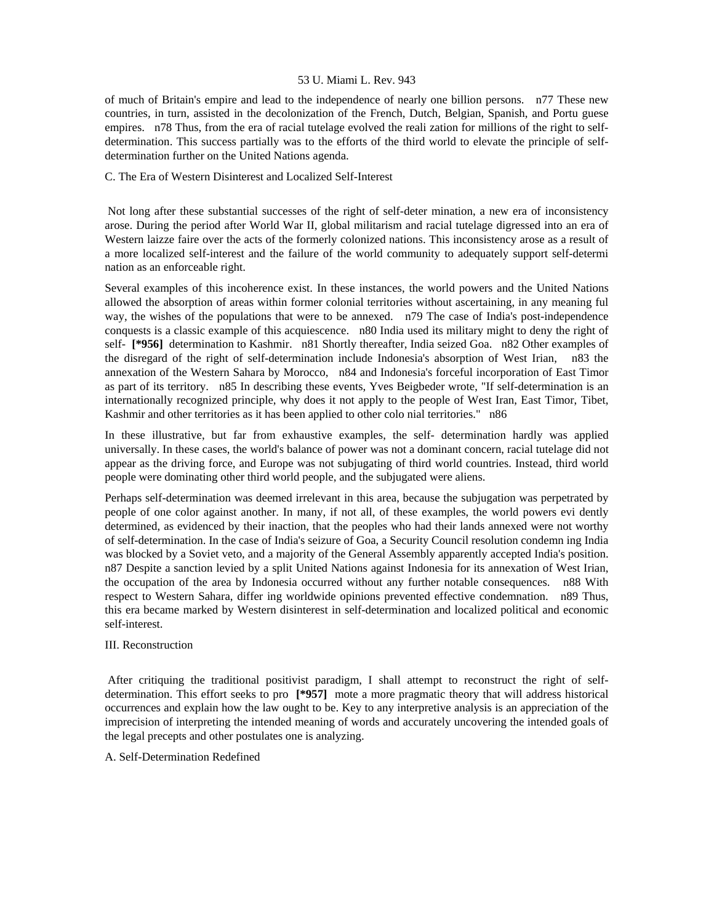of much of Britain's empire and lead to the independence of nearly one billion persons. n77 These new countries, in turn, assisted in the decolonization of the French, Dutch, Belgian, Spanish, and Portu guese empires. n78 Thus, from the era of racial tutelage evolved the reali zation for millions of the right to selfdetermination. This success partially was to the efforts of the third world to elevate the principle of selfdetermination further on the United Nations agenda.

# C. The Era of Western Disinterest and Localized Self-Interest

 Not long after these substantial successes of the right of self-deter mination, a new era of inconsistency arose. During the period after World War II, global militarism and racial tutelage digressed into an era of Western laizze faire over the acts of the formerly colonized nations. This inconsistency arose as a result of a more localized self-interest and the failure of the world community to adequately support self-determi nation as an enforceable right.

Several examples of this incoherence exist. In these instances, the world powers and the United Nations allowed the absorption of areas within former colonial territories without ascertaining, in any meaning ful way, the wishes of the populations that were to be annexed. n79 The case of India's post-independence conquests is a classic example of this acquiescence. n80 India used its military might to deny the right of self- **[\*956]** determination to Kashmir. n81 Shortly thereafter, India seized Goa. n82 Other examples of the disregard of the right of self-determination include Indonesia's absorption of West Irian, n83 the annexation of the Western Sahara by Morocco, n84 and Indonesia's forceful incorporation of East Timor as part of its territory. n85 In describing these events, Yves Beigbeder wrote, "If self-determination is an internationally recognized principle, why does it not apply to the people of West Iran, East Timor, Tibet, Kashmir and other territories as it has been applied to other colo nial territories." n86

In these illustrative, but far from exhaustive examples, the self- determination hardly was applied universally. In these cases, the world's balance of power was not a dominant concern, racial tutelage did not appear as the driving force, and Europe was not subjugating of third world countries. Instead, third world people were dominating other third world people, and the subjugated were aliens.

Perhaps self-determination was deemed irrelevant in this area, because the subjugation was perpetrated by people of one color against another. In many, if not all, of these examples, the world powers evi dently determined, as evidenced by their inaction, that the peoples who had their lands annexed were not worthy of self-determination. In the case of India's seizure of Goa, a Security Council resolution condemn ing India was blocked by a Soviet veto, and a majority of the General Assembly apparently accepted India's position. n87 Despite a sanction levied by a split United Nations against Indonesia for its annexation of West Irian, the occupation of the area by Indonesia occurred without any further notable consequences. n88 With respect to Western Sahara, differ ing worldwide opinions prevented effective condemnation. n89 Thus, this era became marked by Western disinterest in self-determination and localized political and economic self-interest.

# III. Reconstruction

 After critiquing the traditional positivist paradigm, I shall attempt to reconstruct the right of selfdetermination. This effort seeks to pro **[\*957]** mote a more pragmatic theory that will address historical occurrences and explain how the law ought to be. Key to any interpretive analysis is an appreciation of the imprecision of interpreting the intended meaning of words and accurately uncovering the intended goals of the legal precepts and other postulates one is analyzing.

# A. Self-Determination Redefined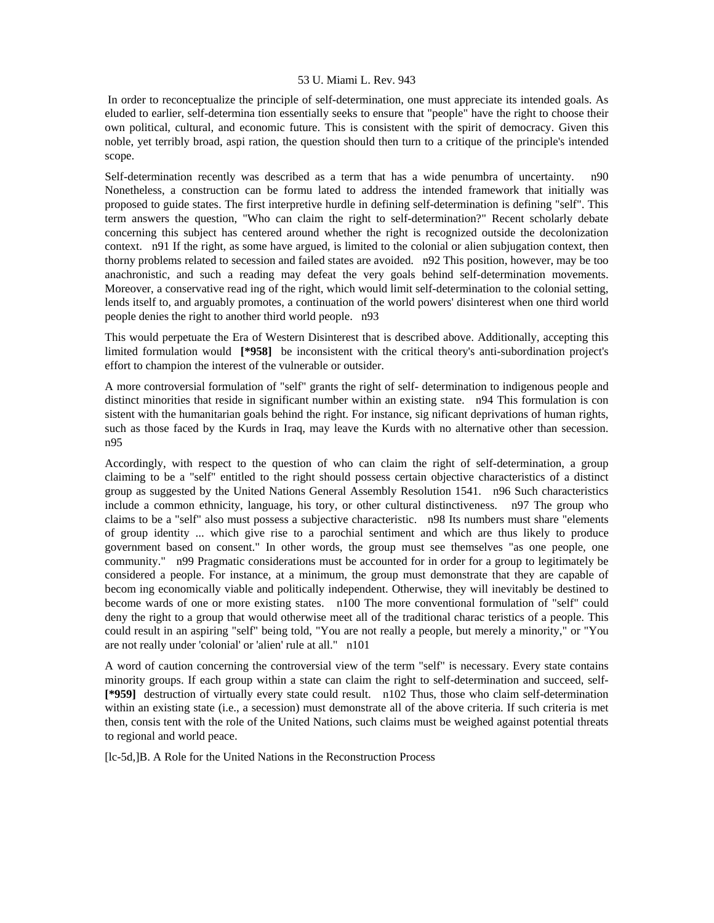In order to reconceptualize the principle of self-determination, one must appreciate its intended goals. As eluded to earlier, self-determina tion essentially seeks to ensure that "people" have the right to choose their own political, cultural, and economic future. This is consistent with the spirit of democracy. Given this noble, yet terribly broad, aspi ration, the question should then turn to a critique of the principle's intended scope.

Self-determination recently was described as a term that has a wide penumbra of uncertainty. n90 Nonetheless, a construction can be formu lated to address the intended framework that initially was proposed to guide states. The first interpretive hurdle in defining self-determination is defining "self". This term answers the question, "Who can claim the right to self-determination?" Recent scholarly debate concerning this subject has centered around whether the right is recognized outside the decolonization context. n91 If the right, as some have argued, is limited to the colonial or alien subjugation context, then thorny problems related to secession and failed states are avoided. n92 This position, however, may be too anachronistic, and such a reading may defeat the very goals behind self-determination movements. Moreover, a conservative read ing of the right, which would limit self-determination to the colonial setting, lends itself to, and arguably promotes, a continuation of the world powers' disinterest when one third world people denies the right to another third world people. n93

This would perpetuate the Era of Western Disinterest that is described above. Additionally, accepting this limited formulation would **[\*958]** be inconsistent with the critical theory's anti-subordination project's effort to champion the interest of the vulnerable or outsider.

A more controversial formulation of "self" grants the right of self- determination to indigenous people and distinct minorities that reside in significant number within an existing state. n94 This formulation is con sistent with the humanitarian goals behind the right. For instance, sig nificant deprivations of human rights, such as those faced by the Kurds in Iraq, may leave the Kurds with no alternative other than secession. n95

Accordingly, with respect to the question of who can claim the right of self-determination, a group claiming to be a "self" entitled to the right should possess certain objective characteristics of a distinct group as suggested by the United Nations General Assembly Resolution 1541. n96 Such characteristics include a common ethnicity, language, his tory, or other cultural distinctiveness. n97 The group who claims to be a "self" also must possess a subjective characteristic. n98 Its numbers must share "elements of group identity ... which give rise to a parochial sentiment and which are thus likely to produce government based on consent." In other words, the group must see themselves "as one people, one community." n99 Pragmatic considerations must be accounted for in order for a group to legitimately be considered a people. For instance, at a minimum, the group must demonstrate that they are capable of becom ing economically viable and politically independent. Otherwise, they will inevitably be destined to become wards of one or more existing states. n100 The more conventional formulation of "self" could deny the right to a group that would otherwise meet all of the traditional charac teristics of a people. This could result in an aspiring "self" being told, "You are not really a people, but merely a minority," or "You are not really under 'colonial' or 'alien' rule at all." n101

A word of caution concerning the controversial view of the term "self" is necessary. Every state contains minority groups. If each group within a state can claim the right to self-determination and succeed, self- **[\*959]** destruction of virtually every state could result. n102 Thus, those who claim self-determination within an existing state (i.e., a secession) must demonstrate all of the above criteria. If such criteria is met then, consis tent with the role of the United Nations, such claims must be weighed against potential threats to regional and world peace.

[lc-5d,]B. A Role for the United Nations in the Reconstruction Process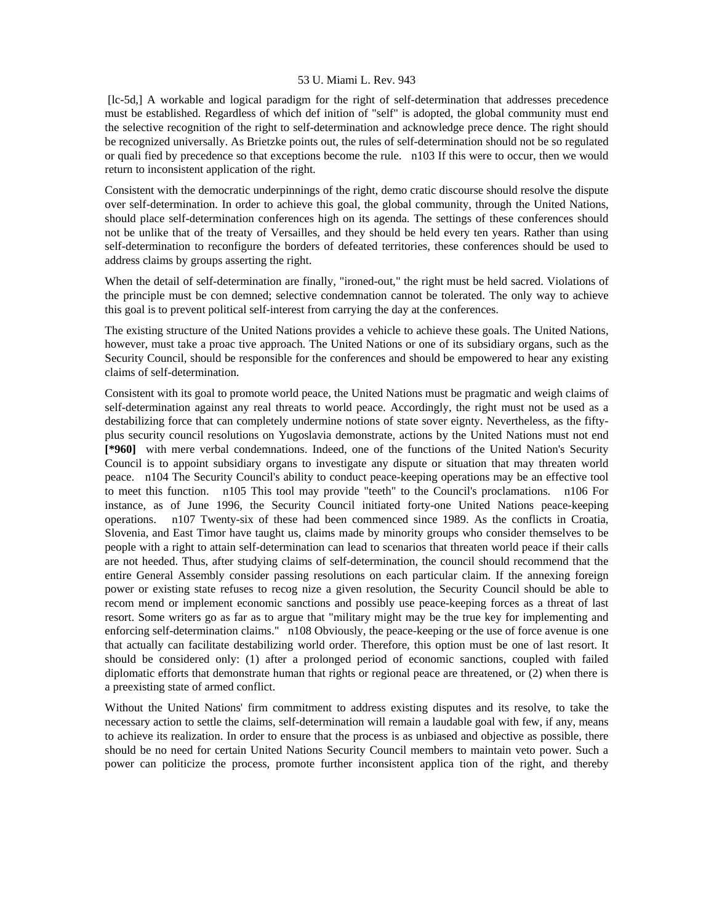[lc-5d,] A workable and logical paradigm for the right of self-determination that addresses precedence must be established. Regardless of which def inition of "self" is adopted, the global community must end the selective recognition of the right to self-determination and acknowledge prece dence. The right should be recognized universally. As Brietzke points out, the rules of self-determination should not be so regulated or quali fied by precedence so that exceptions become the rule. n103 If this were to occur, then we would return to inconsistent application of the right.

Consistent with the democratic underpinnings of the right, demo cratic discourse should resolve the dispute over self-determination. In order to achieve this goal, the global community, through the United Nations, should place self-determination conferences high on its agenda. The settings of these conferences should not be unlike that of the treaty of Versailles, and they should be held every ten years. Rather than using self-determination to reconfigure the borders of defeated territories, these conferences should be used to address claims by groups asserting the right.

When the detail of self-determination are finally, "ironed-out," the right must be held sacred. Violations of the principle must be con demned; selective condemnation cannot be tolerated. The only way to achieve this goal is to prevent political self-interest from carrying the day at the conferences.

The existing structure of the United Nations provides a vehicle to achieve these goals. The United Nations, however, must take a proac tive approach. The United Nations or one of its subsidiary organs, such as the Security Council, should be responsible for the conferences and should be empowered to hear any existing claims of self-determination.

Consistent with its goal to promote world peace, the United Nations must be pragmatic and weigh claims of self-determination against any real threats to world peace. Accordingly, the right must not be used as a destabilizing force that can completely undermine notions of state sover eignty. Nevertheless, as the fiftyplus security council resolutions on Yugoslavia demonstrate, actions by the United Nations must not end **[\*960]** with mere verbal condemnations. Indeed, one of the functions of the United Nation's Security Council is to appoint subsidiary organs to investigate any dispute or situation that may threaten world peace. n104 The Security Council's ability to conduct peace-keeping operations may be an effective tool to meet this function. n105 This tool may provide "teeth" to the Council's proclamations. n106 For instance, as of June 1996, the Security Council initiated forty-one United Nations peace-keeping operations. n107 Twenty-six of these had been commenced since 1989. As the conflicts in Croatia, Slovenia, and East Timor have taught us, claims made by minority groups who consider themselves to be people with a right to attain self-determination can lead to scenarios that threaten world peace if their calls are not heeded. Thus, after studying claims of self-determination, the council should recommend that the entire General Assembly consider passing resolutions on each particular claim. If the annexing foreign power or existing state refuses to recog nize a given resolution, the Security Council should be able to recom mend or implement economic sanctions and possibly use peace-keeping forces as a threat of last resort. Some writers go as far as to argue that "military might may be the true key for implementing and enforcing self-determination claims." n108 Obviously, the peace-keeping or the use of force avenue is one that actually can facilitate destabilizing world order. Therefore, this option must be one of last resort. It should be considered only: (1) after a prolonged period of economic sanctions, coupled with failed diplomatic efforts that demonstrate human that rights or regional peace are threatened, or (2) when there is a preexisting state of armed conflict.

Without the United Nations' firm commitment to address existing disputes and its resolve, to take the necessary action to settle the claims, self-determination will remain a laudable goal with few, if any, means to achieve its realization. In order to ensure that the process is as unbiased and objective as possible, there should be no need for certain United Nations Security Council members to maintain veto power. Such a power can politicize the process, promote further inconsistent applica tion of the right, and thereby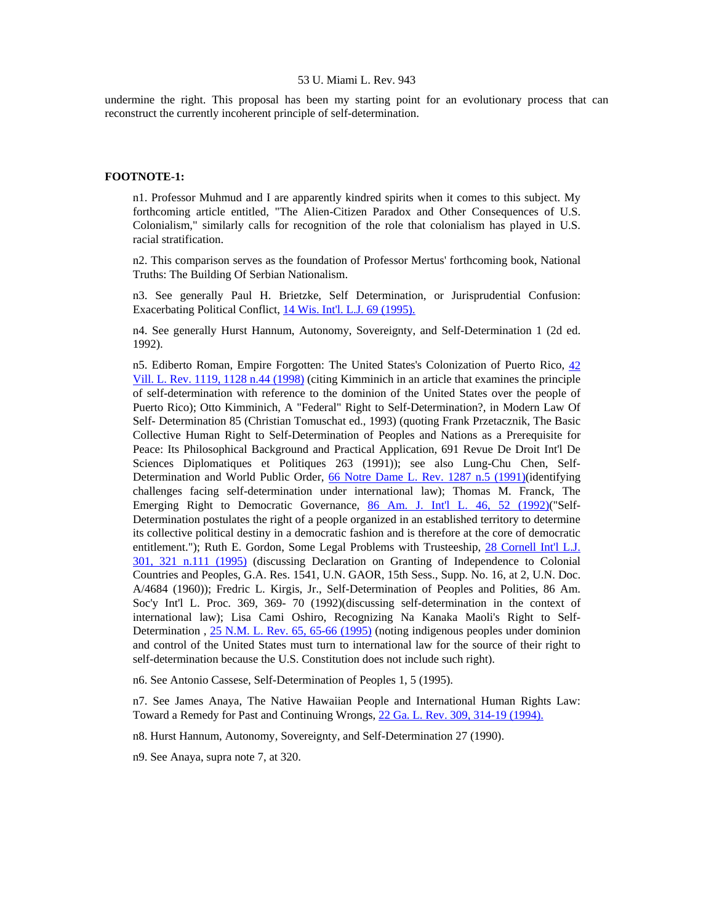undermine the right. This proposal has been my starting point for an evolutionary process that can reconstruct the currently incoherent principle of self-determination.

#### **FOOTNOTE-1:**

n1. Professor Muhmud and I are apparently kindred spirits when it comes to this subject. My forthcoming article entitled, "The Alien-Citizen Paradox and Other Consequences of U.S. Colonialism," similarly calls for recognition of the role that colonialism has played in U.S. racial stratification.

n2. This comparison serves as the foundation of Professor Mertus' forthcoming book, National Truths: The Building Of Serbian Nationalism.

n3. See generally Paul H. Brietzke, Self Determination, or Jurisprudential Confusion: Exacerbating Political Conflict, [14 Wis. Int'l. L.J. 69 \(1995\).](http://www.lexis.com/research/xlink?searchtype=get&search=14%20Wis.%20Int)

n4. See generally Hurst Hannum, Autonomy, Sovereignty, and Self-Determination 1 (2d ed. 1992).

n5. Ediberto Roman, Empire Forgotten: The United States's Colonization of Puerto Rico, [42](http://www.lexis.com/research/xlink?searchtype=get&search=42%20Vill.%20L.%20Rev.%201119,at%201128)  [Vill. L. Rev. 1119, 1128 n.44 \(1998\)](http://www.lexis.com/research/xlink?searchtype=get&search=42%20Vill.%20L.%20Rev.%201119,at%201128) (citing Kimminich in an article that examines the principle of self-determination with reference to the dominion of the United States over the people of Puerto Rico); Otto Kimminich, A "Federal" Right to Self-Determination?, in Modern Law Of Self- Determination 85 (Christian Tomuschat ed., 1993) (quoting Frank Przetacznik, The Basic Collective Human Right to Self-Determination of Peoples and Nations as a Prerequisite for Peace: Its Philosophical Background and Practical Application, 691 Revue De Droit Int'l De Sciences Diplomatiques et Politiques 263 (1991)); see also Lung-Chu Chen, Self-Determination and World Public Order, [66 Notre Dame L. Rev. 1287 n.5 \(1991\)\(](http://www.lexis.com/research/xlink?searchtype=get&search=66%20Notre%20Dame%20L.%20Rev.%201287)identifying challenges facing self-determination under international law); Thomas M. Franck, The Emerging Right to Democratic Governance, [86 Am. J. Int'l L. 46, 52 \(1992\)](http://www.lexis.com/research/xlink?searchtype=get&search=86%20A.J.I.L.%2046,at%2052)("Self-Determination postulates the right of a people organized in an established territory to determine its collective political destiny in a democratic fashion and is therefore at the core of democratic entitlement."); Ruth E. Gordon, Some Legal Problems with Trusteeship, [28 Cornell Int'l L.J.](http://www.lexis.com/research/xlink?searchtype=get&search=28%20Cornell%20Int)  [301, 321 n.111 \(1995\)](http://www.lexis.com/research/xlink?searchtype=get&search=28%20Cornell%20Int) (discussing Declaration on Granting of Independence to Colonial Countries and Peoples, G.A. Res. 1541, U.N. GAOR, 15th Sess., Supp. No. 16, at 2, U.N. Doc. A/4684 (1960)); Fredric L. Kirgis, Jr., Self-Determination of Peoples and Polities, 86 Am. Soc'y Int'l L. Proc. 369, 369- 70 (1992)(discussing self-determination in the context of international law); Lisa Cami Oshiro, Recognizing Na Kanaka Maoli's Right to Self-Determination , [25 N.M. L. Rev. 65, 65-66 \(1995\)](http://www.lexis.com/research/xlink?searchtype=get&search=25%20N.M.L.%20Rev.%2065) (noting indigenous peoples under dominion and control of the United States must turn to international law for the source of their right to self-determination because the U.S. Constitution does not include such right).

n6. See Antonio Cassese, Self-Determination of Peoples 1, 5 (1995).

n7. See James Anaya, The Native Hawaiian People and International Human Rights Law: Toward a Remedy for Past and Continuing Wrongs, [22 Ga. L. Rev. 309, 314-19 \(1994\).](http://www.lexis.com/research/xlink?searchtype=get&search=22%20Ga.%20L.%20Rev.%20309,at%20314)

n8. Hurst Hannum, Autonomy, Sovereignty, and Self-Determination 27 (1990).

n9. See Anaya, supra note 7, at 320.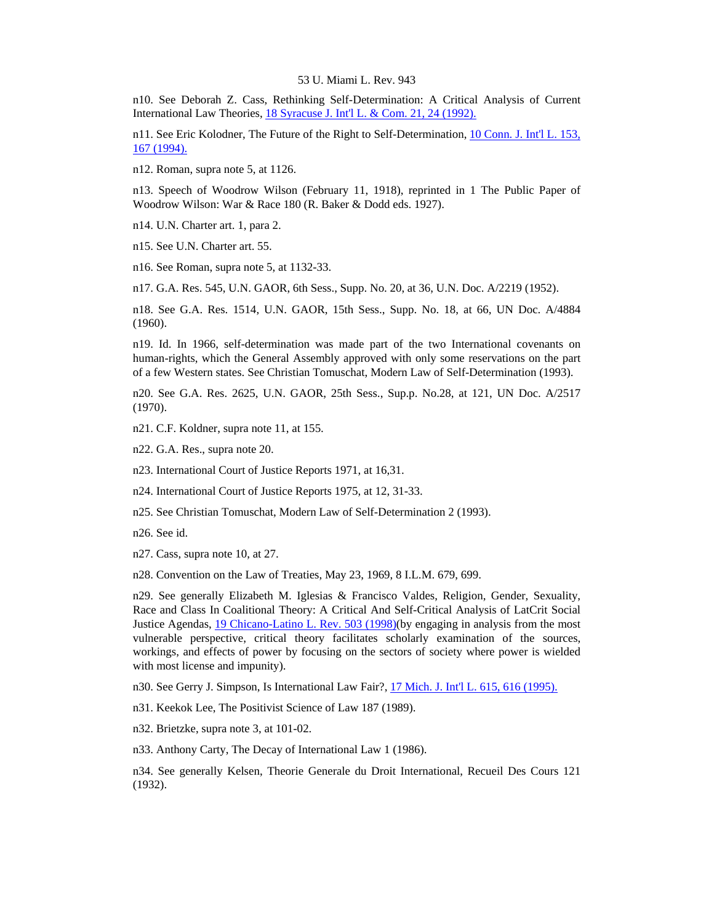n10. See Deborah Z. Cass, Rethinking Self-Determination: A Critical Analysis of Current International Law Theories, [18 Syracuse J. Int'l L. & Com. 21, 24 \(1992\).](http://www.lexis.com/research/xlink?searchtype=get&search=18%20Syracuse%20J.%20Int)

n11. See Eric Kolodner, The Future of the Right to Self-Determination, [10 Conn. J. Int'l L. 153,](http://www.lexis.com/research/xlink?searchtype=get&search=10%20Conn.%20J.%20Int)  [167 \(1994\).](http://www.lexis.com/research/xlink?searchtype=get&search=10%20Conn.%20J.%20Int)

n12. Roman, supra note 5, at 1126.

n13. Speech of Woodrow Wilson (February 11, 1918), reprinted in 1 The Public Paper of Woodrow Wilson: War & Race 180 (R. Baker & Dodd eds. 1927).

n14. U.N. Charter art. 1, para 2.

n15. See U.N. Charter art. 55.

n16. See Roman, supra note 5, at 1132-33.

n17. G.A. Res. 545, U.N. GAOR, 6th Sess., Supp. No. 20, at 36, U.N. Doc. A/2219 (1952).

n18. See G.A. Res. 1514, U.N. GAOR, 15th Sess., Supp. No. 18, at 66, UN Doc. A/4884 (1960).

n19. Id. In 1966, self-determination was made part of the two International covenants on human-rights, which the General Assembly approved with only some reservations on the part of a few Western states. See Christian Tomuschat, Modern Law of Self-Determination (1993).

n20. See G.A. Res. 2625, U.N. GAOR, 25th Sess., Sup.p. No.28, at 121, UN Doc. A/2517 (1970).

n21. C.F. Koldner, supra note 11, at 155.

n22. G.A. Res., supra note 20.

n23. International Court of Justice Reports 1971, at 16,31.

n24. International Court of Justice Reports 1975, at 12, 31-33.

n25. See Christian Tomuschat, Modern Law of Self-Determination 2 (1993).

n26. See id.

n27. Cass, supra note 10, at 27.

n28. Convention on the Law of Treaties, May 23, 1969, 8 I.L.M. 679, 699.

n29. See generally Elizabeth M. Iglesias & Francisco Valdes, Religion, Gender, Sexuality, Race and Class In Coalitional Theory: A Critical And Self-Critical Analysis of LatCrit Social Justice Agendas, [19 Chicano-Latino L. Rev. 503 \(1998\)](http://www.lexis.com/research/xlink?searchtype=get&search=19%20Chicano-Latino%20L.%20Rev.%20503)(by engaging in analysis from the most vulnerable perspective, critical theory facilitates scholarly examination of the sources, workings, and effects of power by focusing on the sectors of society where power is wielded with most license and impunity).

n30. See Gerry J. Simpson, Is International Law Fair?, [17 Mich. J. Int'l L. 615, 616 \(1995\).](http://www.lexis.com/research/xlink?searchtype=get&search=17%20Mich.%20J.%20Int)

n31. Keekok Lee, The Positivist Science of Law 187 (1989).

n32. Brietzke, supra note 3, at 101-02.

n33. Anthony Carty, The Decay of International Law 1 (1986).

n34. See generally Kelsen, Theorie Generale du Droit International, Recueil Des Cours 121 (1932).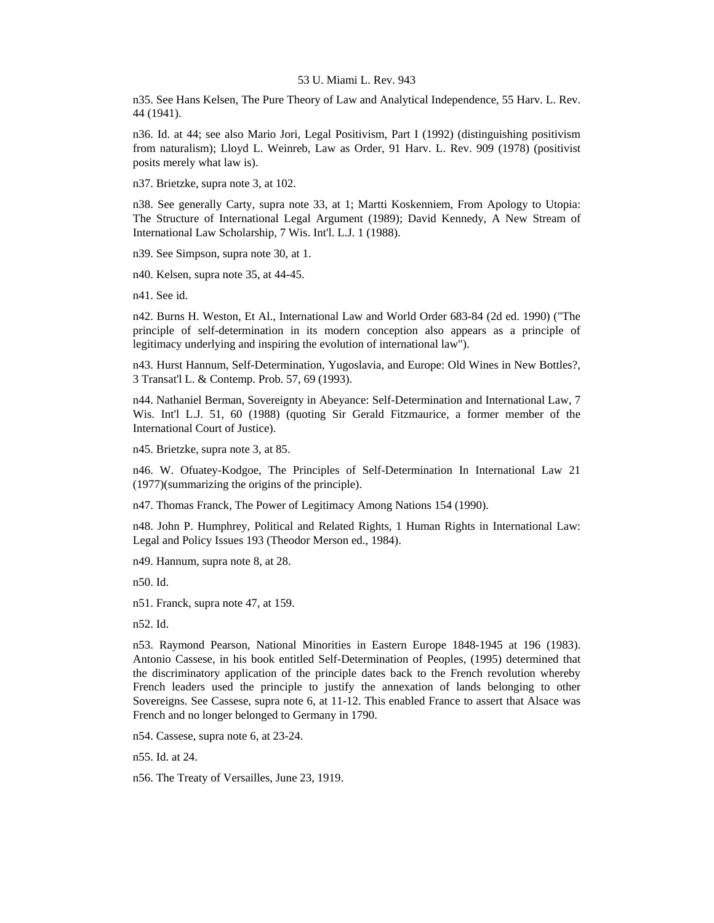n35. See Hans Kelsen, The Pure Theory of Law and Analytical Independence, 55 Harv. L. Rev. 44 (1941).

n36. Id. at 44; see also Mario Jori, Legal Positivism, Part I (1992) (distinguishing positivism from naturalism); Lloyd L. Weinreb, Law as Order, 91 Harv. L. Rev. 909 (1978) (positivist posits merely what law is).

n37. Brietzke, supra note 3, at 102.

n38. See generally Carty, supra note 33, at 1; Martti Koskenniem, From Apology to Utopia: The Structure of International Legal Argument (1989); David Kennedy, A New Stream of International Law Scholarship, 7 Wis. Int'l. L.J. 1 (1988).

n39. See Simpson, supra note 30, at 1.

n40. Kelsen, supra note 35, at 44-45.

n41. See id.

n42. Burns H. Weston, Et Al., International Law and World Order 683-84 (2d ed. 1990) ("The principle of self-determination in its modern conception also appears as a principle of legitimacy underlying and inspiring the evolution of international law").

n43. Hurst Hannum, Self-Determination, Yugoslavia, and Europe: Old Wines in New Bottles?, 3 Transat'l L. & Contemp. Prob. 57, 69 (1993).

n44. Nathaniel Berman, Sovereignty in Abeyance: Self-Determination and International Law, 7 Wis. Int'l L.J. 51, 60 (1988) (quoting Sir Gerald Fitzmaurice, a former member of the International Court of Justice).

n45. Brietzke, supra note 3, at 85.

n46. W. Ofuatey-Kodgoe, The Principles of Self-Determination In International Law 21 (1977)(summarizing the origins of the principle).

n47. Thomas Franck, The Power of Legitimacy Among Nations 154 (1990).

n48. John P. Humphrey, Political and Related Rights, 1 Human Rights in International Law: Legal and Policy Issues 193 (Theodor Merson ed., 1984).

n49. Hannum, supra note 8, at 28.

n50. Id.

n51. Franck, supra note 47, at 159.

n52. Id.

n53. Raymond Pearson, National Minorities in Eastern Europe 1848-1945 at 196 (1983). Antonio Cassese, in his book entitled Self-Determination of Peoples, (1995) determined that the discriminatory application of the principle dates back to the French revolution whereby French leaders used the principle to justify the annexation of lands belonging to other Sovereigns. See Cassese, supra note 6, at 11-12. This enabled France to assert that Alsace was French and no longer belonged to Germany in 1790.

n54. Cassese, supra note 6, at 23-24.

n55. Id. at 24.

n56. The Treaty of Versailles, June 23, 1919.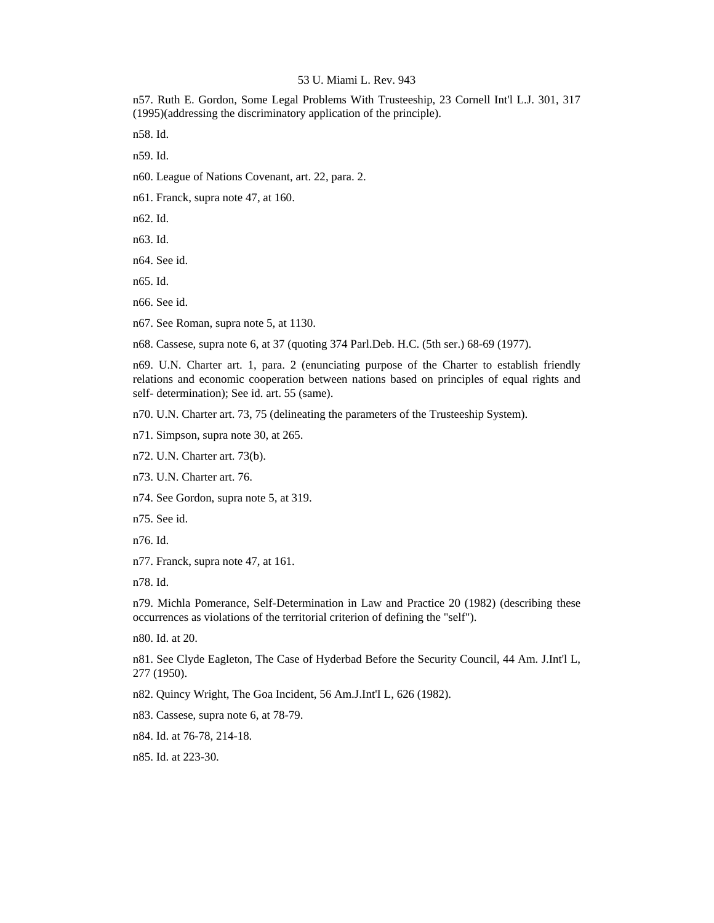n57. Ruth E. Gordon, Some Legal Problems With Trusteeship, 23 Cornell Int'l L.J. 301, 317 (1995)(addressing the discriminatory application of the principle).

n58. Id.

n59. Id.

n60. League of Nations Covenant, art. 22, para. 2.

n61. Franck, supra note 47, at 160.

n62. Id.

n63. Id.

n64. See id.

n65. Id.

n66. See id.

n67. See Roman, supra note 5, at 1130.

n68. Cassese, supra note 6, at 37 (quoting 374 Parl.Deb. H.C. (5th ser.) 68-69 (1977).

n69. U.N. Charter art. 1, para. 2 (enunciating purpose of the Charter to establish friendly relations and economic cooperation between nations based on principles of equal rights and self- determination); See id. art. 55 (same).

n70. U.N. Charter art. 73, 75 (delineating the parameters of the Trusteeship System).

n71. Simpson, supra note 30, at 265.

n72. U.N. Charter art. 73(b).

n73. U.N. Charter art. 76.

n74. See Gordon, supra note 5, at 319.

n75. See id.

n76. Id.

n77. Franck, supra note 47, at 161.

n78. Id.

n79. Michla Pomerance, Self-Determination in Law and Practice 20 (1982) (describing these occurrences as violations of the territorial criterion of defining the "self").

n80. Id. at 20.

n81. See Clyde Eagleton, The Case of Hyderbad Before the Security Council, 44 Am. J.Int'l L, 277 (1950).

n82. Quincy Wright, The Goa Incident, 56 Am.J.Int'I L, 626 (1982).

n83. Cassese, supra note 6, at 78-79.

n84. Id. at 76-78, 214-18.

n85. Id. at 223-30.